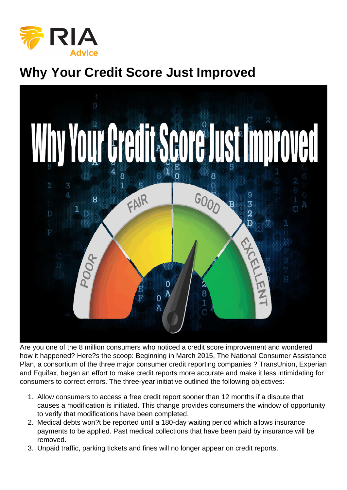## Why Your Credit Score Just Improved

Are you one of the 8 million consumers who noticed a credit score improvement and wondered how it happened? Here?s the scoop: Beginning in March 2015, The National Consumer Assistance Plan, a consortium of the three major consumer credit reporting companies ? TransUnion, Experian and Equifax, began an effort to make credit reports more accurate and make it less intimidating for consumers to correct errors. The three-year initiative outlined the following objectives:

- 1. Allow consumers to access a free credit report sooner than 12 months if a dispute that causes a modification is initiated. This change provides consumers the window of opportunity to verify that modifications have been completed.
- 2. Medical debts won?t be reported until a 180-day waiting period which allows insurance payments to be applied. Past medical collections that have been paid by insurance will be removed.
- 3. Unpaid traffic, parking tickets and fines will no longer appear on credit reports.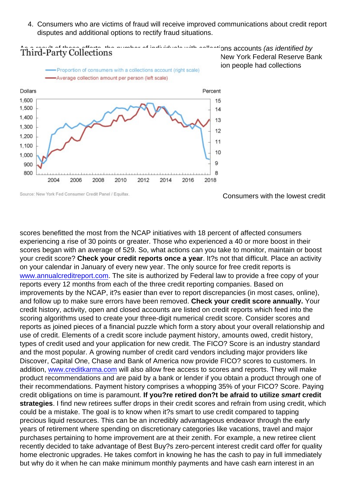4. Consumers who are victims of fraud will receive improved communications about credit report disputes and additional options to rectify fraud situations.

As a result of these efforts, the number of individuals with collections accounts (as identified by [Equifax\), dropped dramatically in the fourth quarter of 2017. The N](https://realinvestmentadvice.com/wp-content/uploads/2018/08/Rosso-Credit-Score-082218.jpg)ew York Federal Reserve Bank [Quarterly Report on Household Debt & Credit](https://www.newyorkfed.org/medialibrary/interactives/householdcredit/data/pdf/HHDC_2018Q2.pdf), outlined that 8 million people had collections accounts removed from their credit reports.

Consumers with the lowest credit

scores benefitted the most from the NCAP initiatives with 18 percent of affected consumers experiencing a rise of 30 points or greater. Those who experienced a 40 or more boost in their scores began with an average of 529. So, what actions can you take to monitor, maintain or boost your credit score? Check your credit reports once a year . It?s not that difficult. Place an activity on your calendar in January of every new year. The only source for free credit reports is [www.annualcreditreport.com](http://www.annualcreditreport.com). The site is authorized by Federal law to provide a free copy of your reports every 12 months from each of the three credit reporting companies. Based on improvements by the NCAP, it?s easier than ever to report discrepancies (in most cases, online), and follow up to make sure errors have been removed. Check your credit score annually. Your credit history, activity, open and closed accounts are listed on credit reports which feed into the scoring algorithms used to create your three-digit numerical credit score. Consider scores and reports as joined pieces of a financial puzzle which form a story about your overall relationship and use of credit. Elements of a credit score include payment history, amounts owed, credit history, types of credit used and your application for new credit. The FICO? Score is an industry standard and the most popular. A growing number of credit card vendors including major providers like Discover, Capital One, Chase and Bank of America now provide FICO? scores to customers. In addition, [www.creditkarma.com](http://www.creditkarma.com) will also allow free access to scores and reports. They will make product recommendations and are paid by a bank or lender if you obtain a product through one of their recommendations. Payment history comprises a whopping 35% of your FICO? Score. Paying credit obligations on time is paramount. If you?re retired don?t be afraid to utilize smart credit strategies . I find new retirees suffer drops in their credit scores and refrain from using credit, which could be a mistake. The goal is to know when it?s smart to use credit compared to tapping precious liquid resources. This can be an incredibly advantageous endeavor through the early years of retirement where spending on discretionary categories like vacations, travel and major purchases pertaining to home improvement are at their zenith. For example, a new retiree client recently decided to take advantage of Best Buy?s zero-percent interest credit card offer for quality home electronic upgrades. He takes comfort in knowing he has the cash to pay in full immediately but why do it when he can make minimum monthly payments and have cash earn interest in an